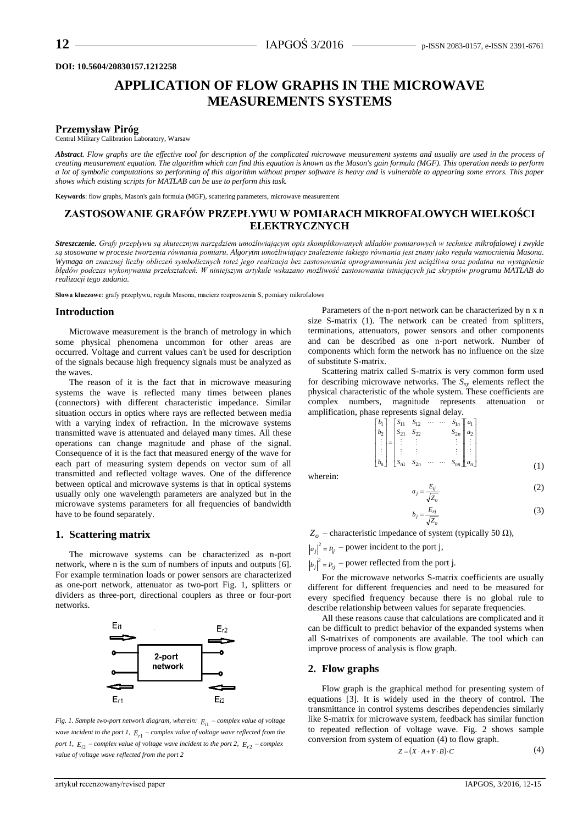#### **DOI: 10.5604/20830157.1212258**

# **APPLICATION OF FLOW GRAPHS IN THE MICROWAVE MEASUREMENTS SYSTEMS**

#### **Przemysław Piróg**

Central Military Calibration Laboratory, Warsaw

*Abstract. Flow graphs are the effective tool for description of the complicated microwave measurement systems and usually are used in the process of creating measurement equation. The algorithm which can find this equation is known as the Mason's gain formula (MGF). This operation needs to perform a lot of symbolic computations so performing of this algorithm without proper software is heavy and is vulnerable to appearing some errors. This paper shows which existing scripts for MATLAB can be use to perform this task.*

**Keywords**: flow graphs, Mason's gain formula (MGF), scattering parameters, microwave measurement

## **ZASTOSOWANIE GRAFÓW PRZEPŁYWU W POMIARACH MIKROFALOWYCH WIELKOŚCI ELEKTRYCZNYCH**

*Streszczenie. Grafy przepływu są skutecznym narzędziem umożliwiającym opis skomplikowanych układów pomiarowych w technice mikrofalowej i zwykle są stosowane w procesie tworzenia równania pomiaru. Algorytm umożliwiający znalezienie takiego równania jest znany jako reguła wzmocnienia Masona. Wymaga on znacznej liczby obliczeń symbolicznych toteż jego realizacja bez zastosowania oprogramowania jest uciążliwa oraz podatna na wystąpienie błędów podczas wykonywania przekształceń. W niniejszym artykule wskazano możliwość zastosowania istniejących już skryptów programu MATLAB do realizacji tego zadania.*

**Słowa kluczowe**: grafy przepływu, reguła Masona, macierz rozproszenia S, pomiary mikrofalowe

#### **Introduction**

Microwave measurement is the branch of metrology in which some physical phenomena uncommon for other areas are occurred. Voltage and current values can't be used for description of the signals because high frequency signals must be analyzed as the waves.

The reason of it is the fact that in microwave measuring systems the wave is reflected many times between planes (connectors) with different characteristic impedance. Similar situation occurs in optics where rays are reflected between media with a varying index of refraction. In the microwave systems transmitted wave is attenuated and delayed many times. All these operations can change magnitude and phase of the signal. Consequence of it is the fact that measured energy of the wave for each part of measuring system depends on vector sum of all transmitted and reflected voltage waves. One of the difference between optical and microwave systems is that in optical systems usually only one wavelength parameters are analyzed but in the microwave systems parameters for all frequencies of bandwidth have to be found separately.

#### **1. Scattering matrix**

The microwave systems can be characterized as n-port network, where n is the sum of numbers of inputs and outputs [6]. For example termination loads or power sensors are characterized as one-port network, attenuator as two-port Fig. 1, splitters or dividers as three-port, directional couplers as three or four-port networks.



*Fig. 1. Sample two-port network diagram, wherein: Ei*<sup>1</sup> *– complex value of voltage wave incident to the port 1, Er*<sup>1</sup> *– complex value of voltage wave reflected from the port 1,*  $E_{i2}$  – *complex value of voltage wave incident to the port 2,*  $E_{r2}$  – *complex value of voltage wave reflected from the port 2*

Parameters of the n-port network can be characterized by n x n size S-matrix (1). The network can be created from splitters, terminations, attenuators, power sensors and other components and can be described as one n-port network. Number of components which form the network has no influence on the size of substitute S-matrix.

Scattering matrix called S-matrix is very common form used for describing microwave networks. The  $S_{xy}$  elements reflect the physical characteristic of the whole system. These coefficients are complex numbers, magnitude represents attenuation or amplification, phase represents signal delay.

$$
\begin{bmatrix} b_1 \\ b_2 \\ \vdots \\ b_n \end{bmatrix} = \begin{bmatrix} S_{11} & S_{12} & \cdots & \cdots & S_{1n} & a_1 \\ S_{21} & S_{22} & S_{2n} & a_2 \\ \vdots & \vdots & & \vdots \\ S_{n1} & S_{2n} & \cdots & \cdots & S_{nn} & a_n \end{bmatrix} \begin{bmatrix} a_1 \\ a_2 \\ \vdots \\ a_n \end{bmatrix} \tag{1}
$$

wherein:

$$
a_j = \frac{E_{ij}}{\sqrt{Z_o}}\tag{2}
$$

$$
b_j = \frac{E_{rj}}{\sqrt{Z_o}}\tag{3}
$$

 $Z$ <sup>*o*</sup> – characteristic impedance of system (typically 50 Ω),

 $a_j\vert^2 = P_{ij}$  – power incident to the port j,

 $|b_j|^2 = P_{rj}$  – power reflected from the port j.

For the microwave networks S-matrix coefficients are usually different for different frequencies and need to be measured for every specified frequency because there is no global rule to describe relationship between values for separate frequencies.

All these reasons cause that calculations are complicated and it can be difficult to predict behavior of the expanded systems when all S-matrixes of components are available. The tool which can improve process of analysis is flow graph.

### **2. Flow graphs**

Flow graph is the graphical method for presenting system of equations [3]. It is widely used in the theory of control. The transmittance in control systems describes dependencies similarly like S-matrix for microwave system, feedback has similar function to repeated reflection of voltage wave. Fig. 2 shows sample conversion from system of equation (4) to flow graph.

$$
Z = (X \cdot A + Y \cdot B) \cdot C \tag{4}
$$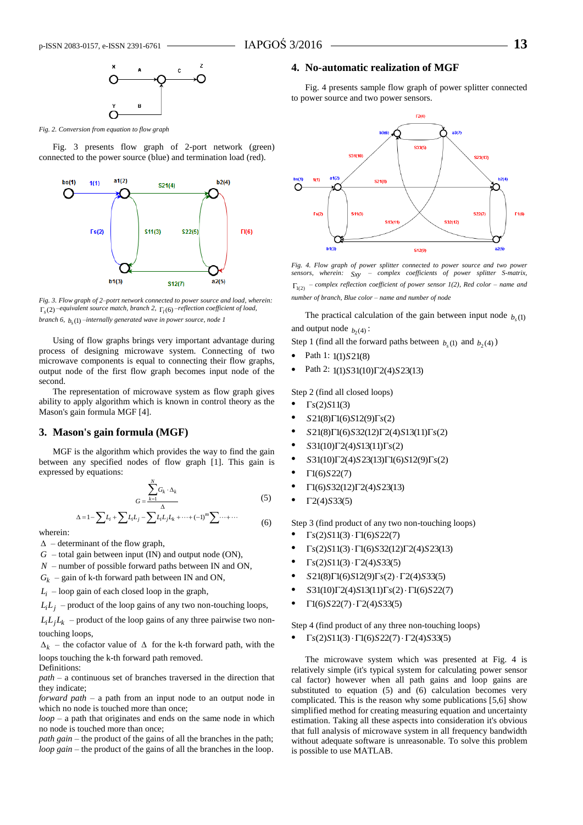

*Fig. 2. Conversion from equation to flow graph*

Fig. 3 presents flow graph of 2-port network (green) connected to the power source (blue) and termination load (red).



*Fig. 3. Flow graph of 2–potrt network connected to power source and load, wherein:*  $\Gamma_{s}(2)$  –equivalent source match, branch 2,  $\Gamma_{l}(6)$  –reflection coefficient of load, *branch 6,* (1) *b<sup>s</sup> –internally generated wave in power source, node 1*

Using of flow graphs brings very important advantage during process of designing microwave system. Connecting of two microwave components is equal to connecting their flow graphs, output node of the first flow graph becomes input node of the second.

The representation of microwave system as flow graph gives ability to apply algorithm which is known in control theory as the Mason's gain formula MGF [4].

#### **3. Mason's gain formula (MGF)**

MGF is the algorithm which provides the way to find the gain between any specified nodes of flow graph [1]. This gain is expressed by equations:

$$
G = \frac{\sum_{k=1}^{N} G_k \cdot \Delta_k}{\Delta} \tag{5}
$$

$$
\Delta = 1 - \sum L_i + \sum L_i L_j - \sum L_i L_j L_k + \dots + (-1)^m \sum \dots + \dots \tag{6}
$$

wherein:

 $\Delta$  – determinant of the flow graph,

*G* – total gain between input (IN) and output node (ON),

*N* – number of possible forward paths between IN and ON,

 $G_k$  – gain of k-th forward path between IN and ON,

 $L_i$  – loop gain of each closed loop in the graph,

 $L_i L_j$  – product of the loop gains of any two non-touching loops,

 $L_i L_j L_k$  – product of the loop gains of any three pairwise two nontouching loops,

 $\Delta_k$  – the cofactor value of  $\Delta$  for the k-th forward path, with the loops touching the k-th forward path removed.

Definitions:

*path* – a continuous set of branches traversed in the direction that they indicate;

*forward path* – a path from an input node to an output node in which no node is touched more than once;

*loop* – a path that originates and ends on the same node in which no node is touched more than once;

*path gain* – the product of the gains of all the branches in the path; *loop gain* – the product of the gains of all the branches in the loop.

#### **4. No-automatic realization of MGF**

Fig. 4 presents sample flow graph of power splitter connected to power source and two power sensors.



*Fig. 4. Flow graph of power splitter connected to power source and two power sensors, wherein: Sxy – complex coefficients of power splitter S-matrix,* 1(2) *– complex reflection coefficient of power sensor 1(2), Red color – name and number of branch, Blue color – name and number of node*

The practical calculation of the gain between input node  $b<sub>s</sub>(1)$ and output node  $b_2(4)$ :

Step 1 (find all the forward paths between  $b_s(1)$  and  $b_2(4)$ )

- Path 1: 1(1)*S*21(8)
- Path 2:  $1(1)S31(10)\Gamma2(4)S23(13)$

Step 2 (find all closed loops)

- $\Gamma$ *s*(2)*S*11(3)
- *S*21(8) $\Gamma$ 1(6)*S*12(9) $\Gamma$ *s*(2)
- *S*21(8)1(6)*S*32(12)2(4)*S*13(11)*s*(2)
- $S31(10)\Gamma2(4)S13(11)\Gamma<sub>S</sub>(2)$
- *S*31(10)2(4)*S*23(13)1(6)*S*12(9)*s*(2)
- 1(6)*S*22(7)
- 1(6)*S*32(12)2(4)*S*23(13)
- $\Gamma$ 2(4)*S*33(5)

Step 3 (find product of any two non-touching loops)

- $\Gamma$ *s*(2)*S*11(3) ·  $\Gamma$ 1(6)*S*22(7)
- $\Gamma$ *s*(2)*S*11(3) ·  $\Gamma$ 1(6)*S*32(12) $\Gamma$ 2(4)*S*23(13)
- $\Gamma$ *s*(2)*S*11(3) ·  $\Gamma$ 2(4)*S*33(5)
- *S*21(8) $\Gamma$ 1(6)*S*12(9) $\Gamma$ *s*(2) ·  $\Gamma$ 2(4)*S*33(5)
- $S31(10)\Gamma2(4)S13(11)\Gamma<sub>S</sub>(2)\cdot\Gamma1(6)S22(7)$
- $\Gamma$ 1(6)*S*22(7) ·  $\Gamma$ 2(4)*S*33(5)

Step 4 (find product of any three non-touching loops)

•  $\Gamma$ *s*(2)*S*11(3) ·  $\Gamma$ 1(6)*S*22(7) ·  $\Gamma$ 2(4)*S*33(5)

The microwave system which was presented at Fig. 4 is relatively simple (it's typical system for calculating power sensor cal factor) however when all path gains and loop gains are substituted to equation (5) and (6) calculation becomes very complicated. This is the reason why some publications [5,6] show simplified method for creating measuring equation and uncertainty estimation. Taking all these aspects into consideration it's obvious that full analysis of microwave system in all frequency bandwidth without adequate software is unreasonable. To solve this problem is possible to use MATLAB.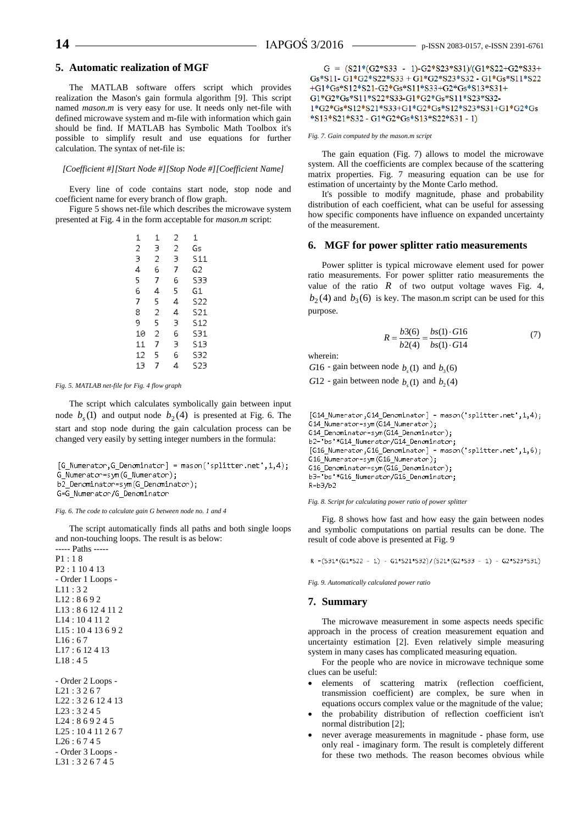#### **5. Automatic realization of MGF**

The MATLAB software offers script which provides realization the Mason's gain formula algorithm [9]. This script named *mason.m* is very easy for use. It needs only net-file with defined microwave system and m-file with information which gain should be find. If MATLAB has Symbolic Math Toolbox it's possible to simplify result and use equations for further calculation. The syntax of net-file is:

#### *[Coefficient #][Start Node #][Stop Node #][Coefficient Name]*

Every line of code contains start node, stop node and coefficient name for every branch of flow graph.

Figure 5 shows net-file which describes the microwave system presented at Fig. 4 in the form acceptable for *mason.m* script:

| 1              | 1 | 2 | 1               |
|----------------|---|---|-----------------|
| $\overline{c}$ | 3 | 2 | Gs              |
| 3              | 2 | 3 | 511             |
| 4              | 6 | 7 | G2              |
| 5              | 7 | 6 | 533             |
| 6              | 4 | 5 | G1              |
| 7              | 5 | 4 | S22             |
| 8              | 2 | 4 | S21             |
| 9              | 5 | 3 | S <sub>12</sub> |
| 10             | 2 | 6 | 531             |
| 11             | 7 | 3 | 513             |
| 12             | 5 | 6 | S32             |
| 13             | 7 | 4 | S23             |

#### *Fig. 5. MATLAB net-file for Fig. 4 flow graph*

The script which calculates symbolically gain between input node  $b_s(1)$  and output node  $b_2(4)$  is presented at Fig. 6. The start and stop node during the gain calculation process can be changed very easily by setting integer numbers in the formula:

 $[G_M$ Mumerator, G\_Denominator] = mason('splitter.net', 1,4); G\_Numerator=sym(G\_Numerator); b2\_Denominator=sym(G\_Denominator); G=G\_Numerator/G\_Denominator

#### *Fig. 6. The code to calculate gain G between node no. 1 and 4*

The script automatically finds all paths and both single loops and non-touching loops. The result is as below:

----- Paths ----- P1 : 1 8

```
G = (S21*(G2*S33 - 1)-G2*S23*S31)/(G1*S22+G2*S33+Gs*S11 - G1*G2*S22*S33 + G1*G2*S23*S32 - G1*Gs*S11*S22+G1*Gs*S12*S21-G2*Gs*S11*S33+G2*Gs*S13*S31+
G1*G2*Gs*S11*S22*S33-G1*G2*Gs*S11*S23*S32-
1*G2*Gs*S12*S21*S33+G1*G2*Gs*S12*S23*S31+G1*G2*Gs
*S13*S21*S32 - G1*G2*Gs*S13*S22*S31 - 1)
```
#### *Fig. 7. Gain computed by the mason.m script*

The gain equation (Fig. 7) allows to model the microwave system. All the coefficients are complex because of the scattering matrix properties. Fig. 7 measuring equation can be use for estimation of uncertainty by the Monte Carlo method.

It's possible to modify magnitude, phase and probability distribution of each coefficient, what can be useful for assessing how specific components have influence on expanded uncertainty of the measurement.

### **6. MGF for power splitter ratio measurements**

Power splitter is typical microwave element used for power ratio measurements. For power splitter ratio measurements the value of the ratio  $R$  of two output voltage waves Fig. 4,  $b_2(4)$  and  $b_3(6)$  is key. The mason.m script can be used for this purpose.

$$
R = \frac{b3(6)}{b2(4)} = \frac{bs(1) \cdot G16}{bs(1) \cdot G14}
$$
 (7)

wherein:

*G*<sup>16</sup> - gain between node  $b_s(1)$  and  $b_3(6)$ 

*G*<sup>12</sup> - gain between node  $b_s(1)$  and  $b_2(4)$ 

```
[614_Numerator, 614_NDenominator] = mason('splitter.net', 1,4);
G14_Numerator=sym(G14_Numerator);
G14_Denominator=sym(G14_Denominator);
b2='bs'*G14_Numerator/G14_Denominator;
[G16_Numerator, G16_Denominator] = mason('splitter.net', 1, 6);
G16_Numerator=sym(G16_Numerator);
G16_Denominator=sym(G16_Denominator);
b3= bs *G16_Numerator/G16_Denominator;
R = b3/b2
```
*Fig. 8. Script for calculating power ratio of power splitter*

Fig. 8 shows how fast and how easy the gain between nodes and symbolic computations on partial results can be done. The result of code above is presented at Fig. 9

R = (S31\* (G1\*S22 - 1) - G1\*S21\*S32)/(S21\* (G2\*S33 - 1) - G2\*S23\*S31)

*Fig. 9. Automatically calculated power ratio*

#### **7. Summary**

The microwave measurement in some aspects needs specific approach in the process of creation measurement equation and uncertainty estimation [2]. Even relatively simple measuring system in many cases has complicated measuring equation.

For the people who are novice in microwave technique some clues can be useful:

- elements of scattering matrix (reflection coefficient, transmission coefficient) are complex, be sure when in equations occurs complex value or the magnitude of the value;
- the probability distribution of reflection coefficient isn't normal distribution [2];
- never average measurements in magnitude phase form, use only real - imaginary form. The result is completely different for these two methods. The reason becomes obvious while